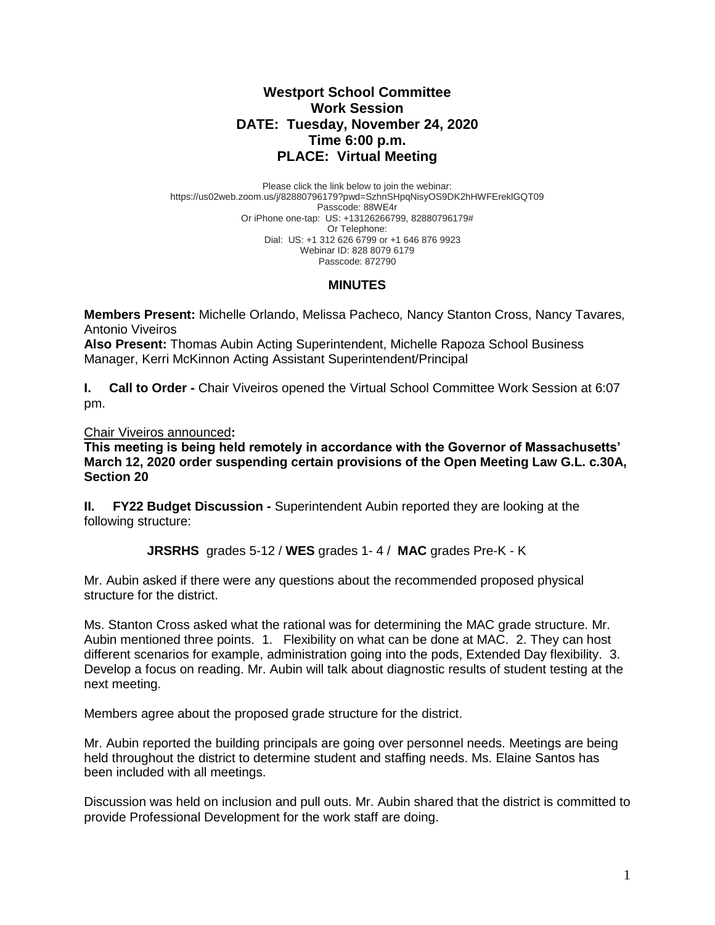## **Westport School Committee Work Session DATE: Tuesday, November 24, 2020 Time 6:00 p.m. PLACE: Virtual Meeting**

Please click the link below to join the webinar: https://us02web.zoom.us/j/82880796179?pwd=SzhnSHpqNisyOS9DK2hHWFEreklGQT09 Passcode: 88WE4r Or iPhone one-tap: US: +13126266799, 82880796179# Or Telephone: Dial: US: +1 312 626 6799 or +1 646 876 9923 Webinar ID: 828 8079 6179 Passcode: 872790

## **MINUTES**

**Members Present:** Michelle Orlando, Melissa Pacheco*,* Nancy Stanton Cross, Nancy Tavares*,*  Antonio Viveiros

**Also Present:** Thomas Aubin Acting Superintendent, Michelle Rapoza School Business Manager, Kerri McKinnon Acting Assistant Superintendent/Principal

**I. Call to Order -** Chair Viveiros opened the Virtual School Committee Work Session at 6:07 pm.

Chair Viveiros announced**:** 

**This meeting is being held remotely in accordance with the Governor of Massachusetts' March 12, 2020 order suspending certain provisions of the Open Meeting Law G.L. c.30A, Section 20**

**II. FY22 Budget Discussion -** Superintendent Aubin reported they are looking at the following structure:

**JRSRHS** grades 5-12 / **WES** grades 1- 4 / **MAC** grades Pre-K - K

Mr. Aubin asked if there were any questions about the recommended proposed physical structure for the district.

Ms. Stanton Cross asked what the rational was for determining the MAC grade structure. Mr. Aubin mentioned three points. 1. Flexibility on what can be done at MAC. 2. They can host different scenarios for example, administration going into the pods, Extended Day flexibility. 3. Develop a focus on reading. Mr. Aubin will talk about diagnostic results of student testing at the next meeting.

Members agree about the proposed grade structure for the district.

Mr. Aubin reported the building principals are going over personnel needs. Meetings are being held throughout the district to determine student and staffing needs. Ms. Elaine Santos has been included with all meetings.

Discussion was held on inclusion and pull outs. Mr. Aubin shared that the district is committed to provide Professional Development for the work staff are doing.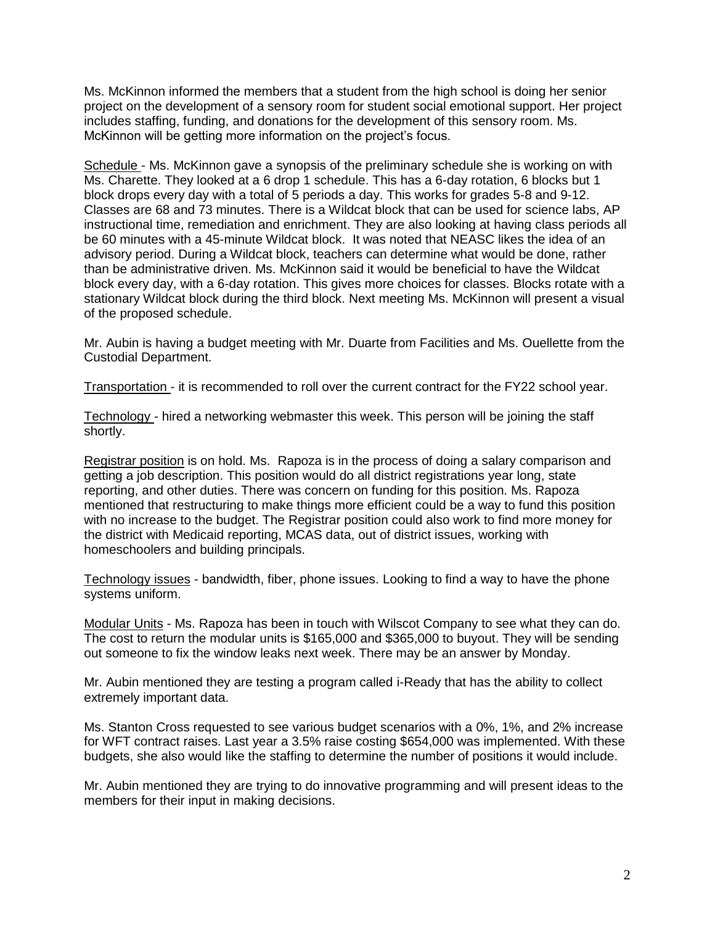Ms. McKinnon informed the members that a student from the high school is doing her senior project on the development of a sensory room for student social emotional support. Her project includes staffing, funding, and donations for the development of this sensory room. Ms. McKinnon will be getting more information on the project's focus.

Schedule - Ms. McKinnon gave a synopsis of the preliminary schedule she is working on with Ms. Charette. They looked at a 6 drop 1 schedule. This has a 6-day rotation, 6 blocks but 1 block drops every day with a total of 5 periods a day. This works for grades 5-8 and 9-12. Classes are 68 and 73 minutes. There is a Wildcat block that can be used for science labs, AP instructional time, remediation and enrichment. They are also looking at having class periods all be 60 minutes with a 45-minute Wildcat block. It was noted that NEASC likes the idea of an advisory period. During a Wildcat block, teachers can determine what would be done, rather than be administrative driven. Ms. McKinnon said it would be beneficial to have the Wildcat block every day, with a 6-day rotation. This gives more choices for classes. Blocks rotate with a stationary Wildcat block during the third block. Next meeting Ms. McKinnon will present a visual of the proposed schedule.

Mr. Aubin is having a budget meeting with Mr. Duarte from Facilities and Ms. Ouellette from the Custodial Department.

Transportation - it is recommended to roll over the current contract for the FY22 school year.

Technology - hired a networking webmaster this week. This person will be joining the staff shortly.

Registrar position is on hold. Ms. Rapoza is in the process of doing a salary comparison and getting a job description. This position would do all district registrations year long, state reporting, and other duties. There was concern on funding for this position. Ms. Rapoza mentioned that restructuring to make things more efficient could be a way to fund this position with no increase to the budget. The Registrar position could also work to find more money for the district with Medicaid reporting, MCAS data, out of district issues, working with homeschoolers and building principals.

Technology issues - bandwidth, fiber, phone issues. Looking to find a way to have the phone systems uniform.

Modular Units - Ms. Rapoza has been in touch with Wilscot Company to see what they can do. The cost to return the modular units is \$165,000 and \$365,000 to buyout. They will be sending out someone to fix the window leaks next week. There may be an answer by Monday.

Mr. Aubin mentioned they are testing a program called i-Ready that has the ability to collect extremely important data.

Ms. Stanton Cross requested to see various budget scenarios with a 0%, 1%, and 2% increase for WFT contract raises. Last year a 3.5% raise costing \$654,000 was implemented. With these budgets, she also would like the staffing to determine the number of positions it would include.

Mr. Aubin mentioned they are trying to do innovative programming and will present ideas to the members for their input in making decisions.